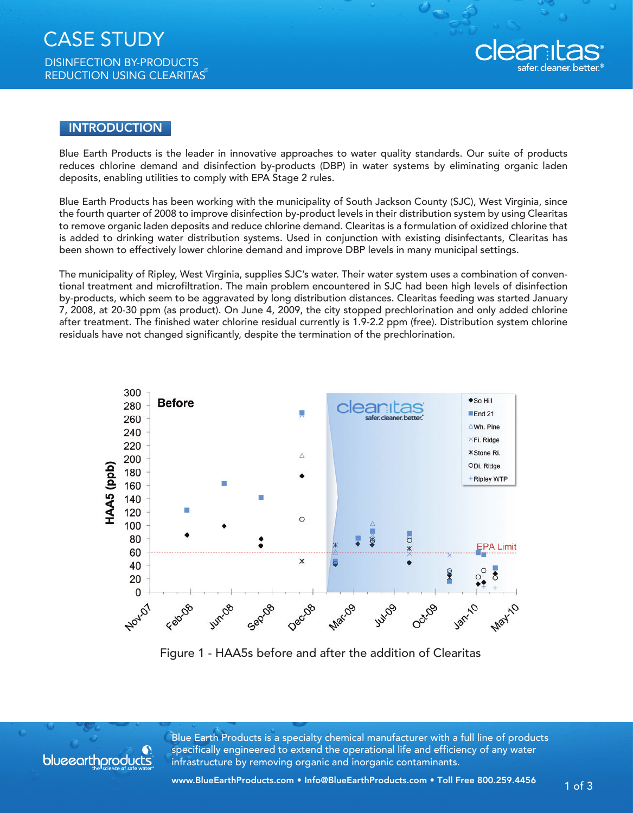

## INTRODUCTION

Blue Earth Products is the leader in innovative approaches to water quality standards. Our suite of products reduces chlorine demand and disinfection by-products (DBP) in water systems by eliminating organic laden deposits, enabling utilities to comply with EPA Stage 2 rules.

Blue Earth Products has been working with the municipality of South Jackson County (SJC), West Virginia, since the fourth quarter of 2008 to improve disinfection by-product levels in their distribution system by using Clearitas to remove organic laden deposits and reduce chlorine demand. Clearitas is a formulation of oxidized chlorine that is added to drinking water distribution systems. Used in conjunction with existing disinfectants, Clearitas has been shown to effectively lower chlorine demand and improve DBP levels in many municipal settings.

The municipality of Ripley, West Virginia, supplies SJC's water. Their water system uses a combination of conventional treatment and microfiltration. The main problem encountered in SJC had been high levels of disinfection by-products, which seem to be aggravated by long distribution distances. Clearitas feeding was started January 7, 2008, at 20-30 ppm (as product). On June 4, 2009, the city stopped prechlorination and only added chlorine after treatment. The finished water chlorine residual currently is 1.9-2.2 ppm (free). Distribution system chlorine residuals have not changed significantly, despite the termination of the prechlorination.



Figure 1 - HAA5s before and after the addition of Clearitas



Blue Earth Products is a specialty chemical manufacturer with a full line of products specifically engineered to extend the operational life and efficiency of any water infrastructure by removing organic and inorganic contaminants.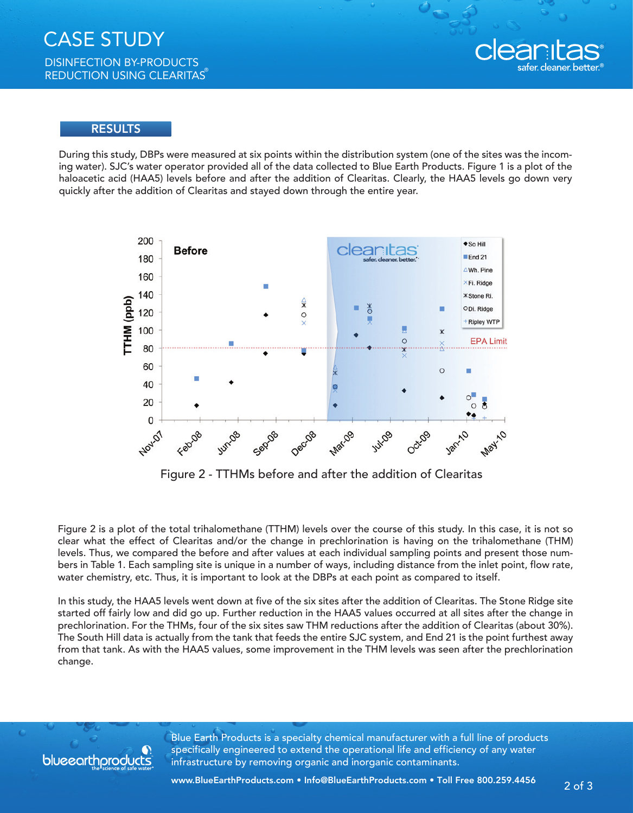

## **RESULTS**

During this study, DBPs were measured at six points within the distribution system (one of the sites was the incoming water). SJC's water operator provided all of the data collected to Blue Earth Products. Figure 1 is a plot of the haloacetic acid (HAA5) levels before and after the addition of Clearitas. Clearly, the HAA5 levels go down very quickly after the addition of Clearitas and stayed down through the entire year.



Figure 2 - TTHMs before and after the addition of Clearitas

Figure 2 is a plot of the total trihalomethane (TTHM) levels over the course of this study. In this case, it is not so clear what the effect of Clearitas and/or the change in prechlorination is having on the trihalomethane (THM) levels. Thus, we compared the before and after values at each individual sampling points and present those numbers in Table 1. Each sampling site is unique in a number of ways, including distance from the inlet point, flow rate, water chemistry, etc. Thus, it is important to look at the DBPs at each point as compared to itself.

In this study, the HAA5 levels went down at five of the six sites after the addition of Clearitas. The Stone Ridge site started off fairly low and did go up. Further reduction in the HAA5 values occurred at all sites after the change in prechlorination. For the THMs, four of the six sites saw THM reductions after the addition of Clearitas (about 30%). The South Hill data is actually from the tank that feeds the entire SJC system, and End 21 is the point furthest away from that tank. As with the HAA5 values, some improvement in the THM levels was seen after the prechlorination change.



Blue Earth Products is a specialty chemical manufacturer with a full line of products specifically engineered to extend the operational life and efficiency of any water infrastructure by removing organic and inorganic contaminants.